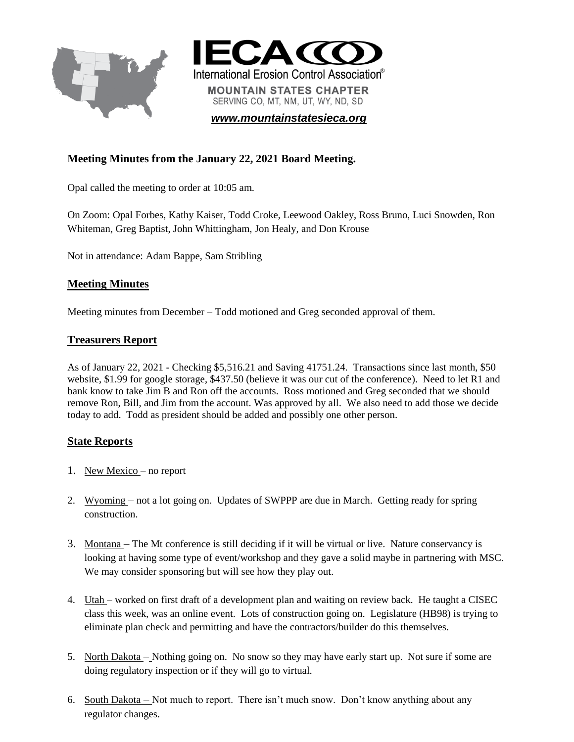



*[www.mountainstatesieca.org](http://www.mountainstatesieca.org/)*

# **Meeting Minutes from the January 22, 2021 Board Meeting.**

Opal called the meeting to order at 10:05 am.

On Zoom: Opal Forbes, Kathy Kaiser, Todd Croke, Leewood Oakley, Ross Bruno, Luci Snowden, Ron Whiteman, Greg Baptist, John Whittingham, Jon Healy, and Don Krouse

Not in attendance: Adam Bappe, Sam Stribling

#### **Meeting Minutes**

Meeting minutes from December – Todd motioned and Greg seconded approval of them.

#### **Treasurers Report**

As of January 22, 2021 - Checking \$5,516.21 and Saving 41751.24. Transactions since last month, \$50 website, \$1.99 for google storage, \$437.50 (believe it was our cut of the conference). Need to let R1 and bank know to take Jim B and Ron off the accounts. Ross motioned and Greg seconded that we should remove Ron, Bill, and Jim from the account. Was approved by all. We also need to add those we decide today to add. Todd as president should be added and possibly one other person.

#### **State Reports**

- 1. New Mexico no report
- 2. Wyoming not a lot going on. Updates of SWPPP are due in March. Getting ready for spring construction.
- 3. Montana The Mt conference is still deciding if it will be virtual or live. Nature conservancy is looking at having some type of event/workshop and they gave a solid maybe in partnering with MSC. We may consider sponsoring but will see how they play out.
- 4. Utah worked on first draft of a development plan and waiting on review back. He taught a CISEC class this week, was an online event. Lots of construction going on. Legislature (HB98) is trying to eliminate plan check and permitting and have the contractors/builder do this themselves.
- 5. North Dakota Nothing going on. No snow so they may have early start up. Not sure if some are doing regulatory inspection or if they will go to virtual.
- 6. South Dakota Not much to report. There isn't much snow. Don't know anything about any regulator changes.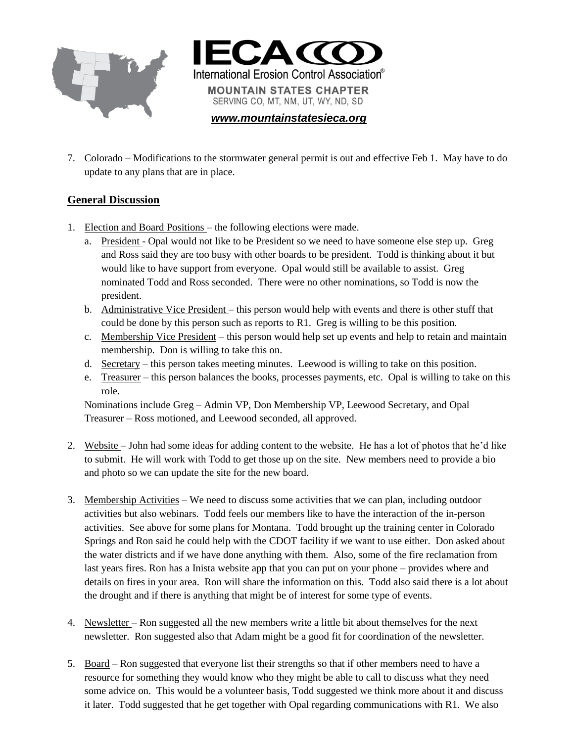



*[www.mountainstatesieca.org](http://www.mountainstatesieca.org/)*

7. Colorado – Modifications to the stormwater general permit is out and effective Feb 1. May have to do update to any plans that are in place.

## **General Discussion**

- 1. Election and Board Positions the following elections were made.
	- a. President Opal would not like to be President so we need to have someone else step up. Greg and Ross said they are too busy with other boards to be president. Todd is thinking about it but would like to have support from everyone. Opal would still be available to assist. Greg nominated Todd and Ross seconded. There were no other nominations, so Todd is now the president.
	- b. Administrative Vice President this person would help with events and there is other stuff that could be done by this person such as reports to R1. Greg is willing to be this position.
	- c. Membership Vice President this person would help set up events and help to retain and maintain membership. Don is willing to take this on.
	- d. Secretary this person takes meeting minutes. Leewood is willing to take on this position.
	- e. Treasurer this person balances the books, processes payments, etc. Opal is willing to take on this role.

Nominations include Greg – Admin VP, Don Membership VP, Leewood Secretary, and Opal Treasurer – Ross motioned, and Leewood seconded, all approved.

- 2. Website John had some ideas for adding content to the website. He has a lot of photos that he'd like to submit. He will work with Todd to get those up on the site. New members need to provide a bio and photo so we can update the site for the new board.
- 3. Membership Activities We need to discuss some activities that we can plan, including outdoor activities but also webinars. Todd feels our members like to have the interaction of the in-person activities. See above for some plans for Montana. Todd brought up the training center in Colorado Springs and Ron said he could help with the CDOT facility if we want to use either. Don asked about the water districts and if we have done anything with them. Also, some of the fire reclamation from last years fires. Ron has a Inista website app that you can put on your phone – provides where and details on fires in your area. Ron will share the information on this. Todd also said there is a lot about the drought and if there is anything that might be of interest for some type of events.
- 4. Newsletter Ron suggested all the new members write a little bit about themselves for the next newsletter. Ron suggested also that Adam might be a good fit for coordination of the newsletter.
- 5. Board Ron suggested that everyone list their strengths so that if other members need to have a resource for something they would know who they might be able to call to discuss what they need some advice on. This would be a volunteer basis, Todd suggested we think more about it and discuss it later. Todd suggested that he get together with Opal regarding communications with R1. We also